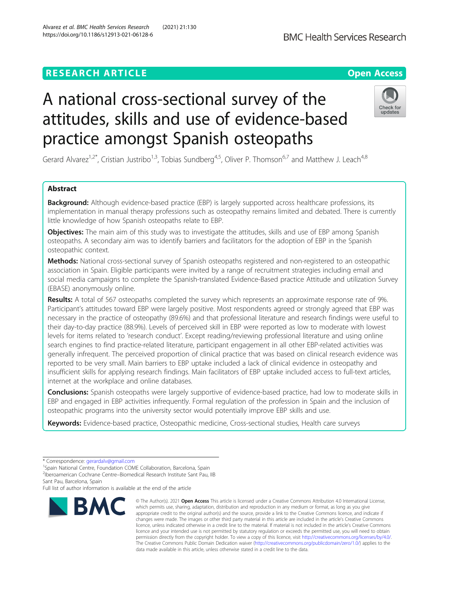## **RESEARCH ARTICLE Example 2014 12:30 The Contract of Contract ACCESS**

# A national cross-sectional survey of the attitudes, skills and use of evidence-based practice amongst Spanish osteopaths

Gerard Alvarez<sup>1,2\*</sup>, Cristian Justribo<sup>1,3</sup>, Tobias Sundberg<sup>4,5</sup>, Oliver P. Thomson<sup>6,7</sup> and Matthew J. Leach<sup>4,8</sup>

## Abstract

**Background:** Although evidence-based practice (EBP) is largely supported across healthcare professions, its implementation in manual therapy professions such as osteopathy remains limited and debated. There is currently little knowledge of how Spanish osteopaths relate to EBP.

**Objectives:** The main aim of this study was to investigate the attitudes, skills and use of EBP among Spanish osteopaths. A secondary aim was to identify barriers and facilitators for the adoption of EBP in the Spanish osteopathic context.

Methods: National cross-sectional survey of Spanish osteopaths registered and non-registered to an osteopathic association in Spain. Eligible participants were invited by a range of recruitment strategies including email and social media campaigns to complete the Spanish-translated Evidence-Based practice Attitude and utilization Survey (EBASE) anonymously online.

Results: A total of 567 osteopaths completed the survey which represents an approximate response rate of 9%. Participant's attitudes toward EBP were largely positive. Most respondents agreed or strongly agreed that EBP was necessary in the practice of osteopathy (89.6%) and that professional literature and research findings were useful to their day-to-day practice (88.9%). Levels of perceived skill in EBP were reported as low to moderate with lowest levels for items related to 'research conduct'. Except reading/reviewing professional literature and using online search engines to find practice-related literature, participant engagement in all other EBP-related activities was generally infrequent. The perceived proportion of clinical practice that was based on clinical research evidence was reported to be very small. Main barriers to EBP uptake included a lack of clinical evidence in osteopathy and insufficient skills for applying research findings. Main facilitators of EBP uptake included access to full-text articles, internet at the workplace and online databases.

**Conclusions:** Spanish osteopaths were largely supportive of evidence-based practice, had low to moderate skills in EBP and engaged in EBP activities infrequently. Formal regulation of the profession in Spain and the inclusion of osteopathic programs into the university sector would potentially improve EBP skills and use.

Keywords: Evidence-based practice, Osteopathic medicine, Cross-sectional studies, Health care surveys



© The Author(s), 2021 **Open Access** This article is licensed under a Creative Commons Attribution 4.0 International License,





<sup>\*</sup> Correspondence: [gerardalv@gmail.com](mailto:gerardalv@gmail.com) <sup>1</sup>

<sup>&</sup>lt;sup>1</sup>Spain National Centre, Foundation COME Collaboration, Barcelona, Spain <sup>2</sup>Iberoamerican Cochrane Centre–Biomedical Research Institute Sant Pau, IIB Sant Pau, Barcelona, Spain

Full list of author information is available at the end of the article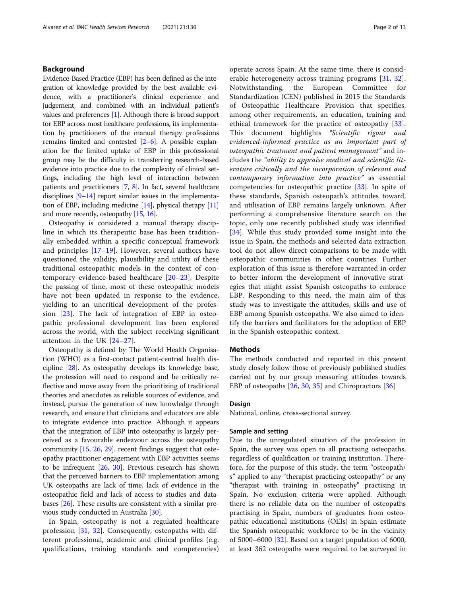## Background

Evidence-Based Practice (EBP) has been defined as the integration of knowledge provided by the best available evidence, with a practitioner's clinical experience and judgement, and combined with an individual patient's values and preferences [\[1\]](#page-11-0). Although there is broad support for EBP across most healthcare professions, its implementation by practitioners of the manual therapy professions remains limited and contested [\[2](#page-11-0)–[6](#page-11-0)]. A possible explanation for the limited uptake of EBP in this professional group may be the difficulty in transferring research-based evidence into practice due to the complexity of clinical settings, including the high level of interaction between patients and practitioners [\[7,](#page-11-0) [8\]](#page-11-0). In fact, several healthcare disciplines  $[9-14]$  $[9-14]$  $[9-14]$  $[9-14]$  $[9-14]$  report similar issues in the implementation of EBP, including medicine [\[14\]](#page-11-0), physical therapy [\[11](#page-11-0)] and more recently, osteopathy [\[15,](#page-11-0) [16\]](#page-11-0).

Osteopathy is considered a manual therapy discipline in which its therapeutic base has been traditionally embedded within a specific conceptual framework and principles [\[17](#page-11-0)–[19](#page-11-0)]. However, several authors have questioned the validity, plausibility and utility of these traditional osteopathic models in the context of contemporary evidence-based healthcare [[20](#page-11-0)–[23](#page-11-0)]. Despite the passing of time, most of these osteopathic models have not been updated in response to the evidence, yielding to an uncritical development of the profession [[23\]](#page-11-0). The lack of integration of EBP in osteopathic professional development has been explored across the world, with the subject receiving significant attention in the UK [\[24](#page-11-0)–[27](#page-11-0)].

Osteopathy is defined by The World Health Organisation (WHO) as a first-contact patient-centred health discipline [\[28](#page-11-0)]. As osteopathy develops its knowledge base, the profession will need to respond and be critically reflective and move away from the prioritizing of traditional theories and anecdotes as reliable sources of evidence, and instead, pursue the generation of new knowledge through research, and ensure that clinicians and educators are able to integrate evidence into practice. Although it appears that the integration of EBP into osteopathy is largely perceived as a favourable endeavour across the osteopathy community [[15](#page-11-0), [26](#page-11-0), [29](#page-11-0)], recent findings suggest that osteopathy practitioner engagement with EBP activities seems to be infrequent [\[26,](#page-11-0) [30](#page-11-0)]. Previous research has shown that the perceived barriers to EBP implementation among UK osteopaths are lack of time, lack of evidence in the osteopathic field and lack of access to studies and databases [[26](#page-11-0)]. These results are consistent with a similar previous study conducted in Australia [[30\]](#page-11-0).

In Spain, osteopathy is not a regulated healthcare profession [[31,](#page-11-0) [32\]](#page-11-0). Consequently, osteopaths with different professional, academic and clinical profiles (e.g. qualifications, training standards and competencies)

operate across Spain. At the same time, there is consid-erable heterogeneity across training programs [[31,](#page-11-0) [32](#page-11-0)]. Notwithstanding, the European Committee for Standardization (CEN) published in 2015 the Standards of Osteopathic Healthcare Provision that specifies, among other requirements, an education, training and ethical framework for the practice of osteopathy [\[33](#page-11-0)]. This document highlights "Scientific rigour and evidenced-informed practice as an important part of osteopathic treatment and patient management" and includes the "ability to appraise medical and scientific literature critically and the incorporation of relevant and contemporary information into practice" as essential competencies for osteopathic practice [[33\]](#page-11-0). In spite of these standards, Spanish osteopath's attitudes toward, and utilisation of EBP remains largely unknown. After performing a comprehensive literature search on the topic, only one recently published study was identified [[34\]](#page-11-0). While this study provided some insight into the issue in Spain, the methods and selected data extraction tool do not allow direct comparisons to be made with osteopathic communities in other countries. Further exploration of this issue is therefore warranted in order to better inform the development of innovative strategies that might assist Spanish osteopaths to embrace EBP. Responding to this need, the main aim of this study was to investigate the attitudes, skills and use of EBP among Spanish osteopaths. We also aimed to identify the barriers and facilitators for the adoption of EBP in the Spanish osteopathic context.

## **Methods**

The methods conducted and reported in this present study closely follow those of previously published studies carried out by our group measuring attitudes towards EBP of osteopaths [[26,](#page-11-0) [30,](#page-11-0) [35\]](#page-11-0) and Chiropractors [[36](#page-11-0)]

### Design

National, online, cross-sectional survey.

## Sample and setting

Due to the unregulated situation of the profession in Spain, the survey was open to all practising osteopaths, regardless of qualification or training institution. Therefore, for the purpose of this study, the term "osteopath/ s" applied to any "therapist practicing osteopathy" or any "therapist with training in osteopathy" practising in Spain. No exclusion criteria were applied. Although there is no reliable data on the number of osteopaths practising in Spain, numbers of graduates from osteopathic educational institutions (OEIs) in Spain estimate the Spanish osteopathic workforce to be in the vicinity of 5000–6000 [[32\]](#page-11-0). Based on a target population of 6000, at least 362 osteopaths were required to be surveyed in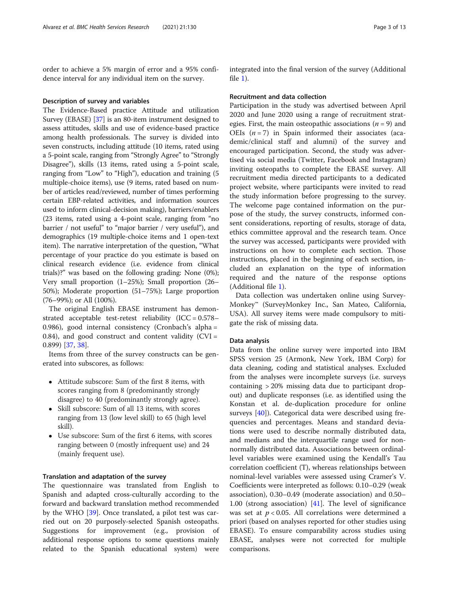order to achieve a 5% margin of error and a 95% confidence interval for any individual item on the survey.

#### Description of survey and variables

The Evidence-Based practice Attitude and utilization Survey (EBASE) [[37](#page-12-0)] is an 80-item instrument designed to assess attitudes, skills and use of evidence-based practice among health professionals. The survey is divided into seven constructs, including attitude (10 items, rated using a 5-point scale, ranging from "Strongly Agree" to "Strongly Disagree"), skills (13 items, rated using a 5-point scale, ranging from "Low" to "High"), education and training (5 multiple-choice items), use (9 items, rated based on number of articles read/reviewed, number of times performing certain EBP-related activities, and information sources used to inform clinical-decision making), barriers/enablers (23 items, rated using a 4-point scale, ranging from "no barrier / not useful" to "major barrier / very useful"), and demographics (19 multiple-choice items and 1 open-text item). The narrative interpretation of the question, "What percentage of your practice do you estimate is based on clinical research evidence (i.e. evidence from clinical trials)?" was based on the following grading: None (0%); Very small proportion (1–25%); Small proportion (26– 50%); Moderate proportion (51–75%); Large proportion (76–99%); or All (100%).

The original English EBASE instrument has demonstrated acceptable test-retest reliability  $(ICC = 0.578 -$ 0.986), good internal consistency (Cronbach's alpha = 0.84), and good construct and content validity (CVI = 0.899) [[37,](#page-12-0) [38](#page-12-0)].

Items from three of the survey constructs can be generated into subscores, as follows:

- Attitude subscore: Sum of the first 8 items, with scores ranging from 8 (predominantly strongly disagree) to 40 (predominantly strongly agree).
- Skill subscore: Sum of all 13 items, with scores ranging from 13 (low level skill) to 65 (high level skill).
- Use subscore: Sum of the first 6 items, with scores ranging between 0 (mostly infrequent use) and 24 (mainly frequent use).

## Translation and adaptation of the survey

The questionnaire was translated from English to Spanish and adapted cross-culturally according to the forward and backward translation method recommended by the WHO [[39\]](#page-12-0). Once translated, a pilot test was carried out on 20 purposely-selected Spanish osteopaths. Suggestions for improvement (e.g., provision of additional response options to some questions mainly related to the Spanish educational system) were integrated into the final version of the survey (Additional file [1\)](#page-10-0).

#### Recruitment and data collection

Participation in the study was advertised between April 2020 and June 2020 using a range of recruitment strategies. First, the main osteopathic associations ( $n = 9$ ) and OEIs  $(n = 7)$  in Spain informed their associates (academic/clinical staff and alumni) of the survey and encouraged participation. Second, the study was advertised via social media (Twitter, Facebook and Instagram) inviting osteopaths to complete the EBASE survey. All recruitment media directed participants to a dedicated project website, where participants were invited to read the study information before progressing to the survey. The welcome page contained information on the purpose of the study, the survey constructs, informed consent considerations, reporting of results, storage of data, ethics committee approval and the research team. Once the survey was accessed, participants were provided with instructions on how to complete each section. Those instructions, placed in the beginning of each section, included an explanation on the type of information required and the nature of the response options (Additional file [1](#page-10-0)).

Data collection was undertaken online using Survey-Monkey™ (SurveyMonkey Inc., San Mateo, California, USA). All survey items were made compulsory to mitigate the risk of missing data.

## Data analysis

Data from the online survey were imported into IBM SPSS version 25 (Armonk, New York, IBM Corp) for data cleaning, coding and statistical analyses. Excluded from the analyses were incomplete surveys (i.e. surveys containing > 20% missing data due to participant dropout) and duplicate responses (i.e. as identified using the Konstan et al. de-duplication procedure for online surveys [\[40](#page-12-0)]). Categorical data were described using frequencies and percentages. Means and standard deviations were used to describe normally distributed data, and medians and the interquartile range used for nonnormally distributed data. Associations between ordinallevel variables were examined using the Kendall's Tau correlation coefficient (Ƭ), whereas relationships between nominal-level variables were assessed using Cramer's V. Coefficients were interpreted as follows: 0.10–0.29 (weak association), 0.30–0.49 (moderate association) and 0.50– 1.00 (strong association) [\[41](#page-12-0)]. The level of significance was set at  $p < 0.05$ . All correlations were determined a priori (based on analyses reported for other studies using EBASE). To ensure comparability across studies using EBASE, analyses were not corrected for multiple comparisons.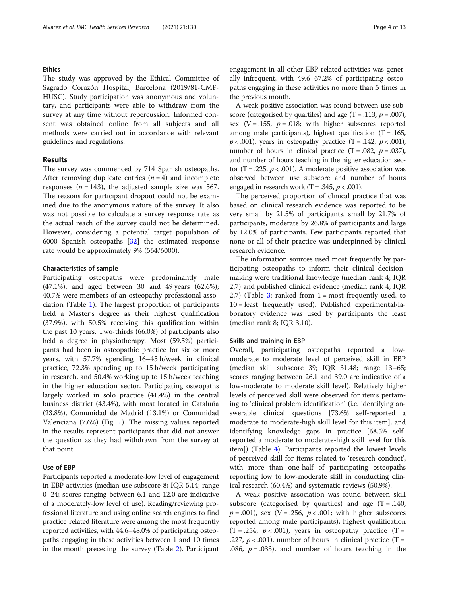## Ethics

The study was approved by the Ethical Committee of Sagrado Corazón Hospital, Barcelona (2019/81-CMF-HUSC). Study participation was anonymous and voluntary, and participants were able to withdraw from the survey at any time without repercussion. Informed consent was obtained online from all subjects and all methods were carried out in accordance with relevant guidelines and regulations.

## Results

The survey was commenced by 714 Spanish osteopaths. After removing duplicate entries  $(n = 4)$  and incomplete responses ( $n = 143$ ), the adjusted sample size was 567. The reasons for participant dropout could not be examined due to the anonymous nature of the survey. It also was not possible to calculate a survey response rate as the actual reach of the survey could not be determined. However, considering a potential target population of 6000 Spanish osteopaths [\[32\]](#page-11-0) the estimated response rate would be approximately 9% (564/6000).

## Characteristics of sample

Participating osteopaths were predominantly male (47.1%), and aged between 30 and 49 years (62.6%); 40.7% were members of an osteopathy professional association (Table [1](#page-4-0)). The largest proportion of participants held a Master's degree as their highest qualification (37.9%), with 50.5% receiving this qualification within the past 10 years. Two-thirds (66.0%) of participants also held a degree in physiotherapy. Most (59.5%) participants had been in osteopathic practice for six or more years, with 57.7% spending 16–45 h/week in clinical practice, 72.3% spending up to 15 h/week participating in research, and 50.4% working up to 15 h/week teaching in the higher education sector. Participating osteopaths largely worked in solo practice (41.4%) in the central business district (43.4%), with most located in Cataluña (23.8%), Comunidad de Madrid (13.1%) or Comunidad Valenciana (7.6%) (Fig. [1\)](#page-5-0). The missing values reported in the results represent participants that did not answer the question as they had withdrawn from the survey at that point.

## Use of EBP

Participants reported a moderate-low level of engagement in EBP activities (median use subscore 8; IQR 5,14; range 0–24; scores ranging between 6.1 and 12.0 are indicative of a moderately-low level of use). Reading/reviewing professional literature and using online search engines to find practice-related literature were among the most frequently reported activities, with 44.6–48.0% of participating osteopaths engaging in these activities between 1 and 10 times in the month preceding the survey (Table [2](#page-6-0)). Participant engagement in all other EBP-related activities was generally infrequent, with 49.6–67.2% of participating osteopaths engaging in these activities no more than 5 times in the previous month.

A weak positive association was found between use subscore (categorised by quartiles) and age  $(T = .113, p = .007)$ , sex  $(V = .155, p = .018;$  with higher subscores reported among male participants), highest qualification  $(T = .165, )$  $p < .001$ ), years in osteopathy practice (T = .142,  $p < .001$ ), number of hours in clinical practice  $(T = .082, p = .037)$ , and number of hours teaching in the higher education sector (T = .225,  $p < .001$ ). A moderate positive association was observed between use subscore and number of hours engaged in research work (T = .345,  $p < .001$ ).

The perceived proportion of clinical practice that was based on clinical research evidence was reported to be very small by 21.5% of participants, small by 21.7% of participants, moderate by 26.8% of participants and large by 12.0% of participants. Few participants reported that none or all of their practice was underpinned by clinical research evidence.

The information sources used most frequently by participating osteopaths to inform their clinical decisionmaking were traditional knowledge (median rank 4; IQR 2,7) and published clinical evidence (median rank 4; IQR 2,7) (Table [3](#page-6-0): ranked from  $1 = \text{most frequently used, to}$ 10 = least frequently used). Published experimental/laboratory evidence was used by participants the least (median rank 8; IQR 3,10).

## Skills and training in EBP

Overall, participating osteopaths reported a lowmoderate to moderate level of perceived skill in EBP (median skill subscore 39; IQR 31,48; range 13–65; scores ranging between 26.1 and 39.0 are indicative of a low-moderate to moderate skill level). Relatively higher levels of perceived skill were observed for items pertaining to 'clinical problem identification' (i.e. identifying answerable clinical questions [73.6% self-reported a moderate to moderate-high skill level for this item], and identifying knowledge gaps in practice [68.5% selfreported a moderate to moderate-high skill level for this item]) (Table [4\)](#page-7-0). Participants reported the lowest levels of perceived skill for items related to 'research conduct', with more than one-half of participating osteopaths reporting low to low-moderate skill in conducting clinical research (60.4%) and systematic reviews (50.9%).

A weak positive association was found between skill subscore (categorised by quartiles) and age  $(T = .140, )$  $p = .001$ ), sex (V = .256,  $p < .001$ ; with higher subscores reported among male participants), highest qualification  $(T=.254, p<.001)$ , years in osteopathy practice  $(T=$ .227,  $p < .001$ ), number of hours in clinical practice (T = .086,  $p = .033$ ), and number of hours teaching in the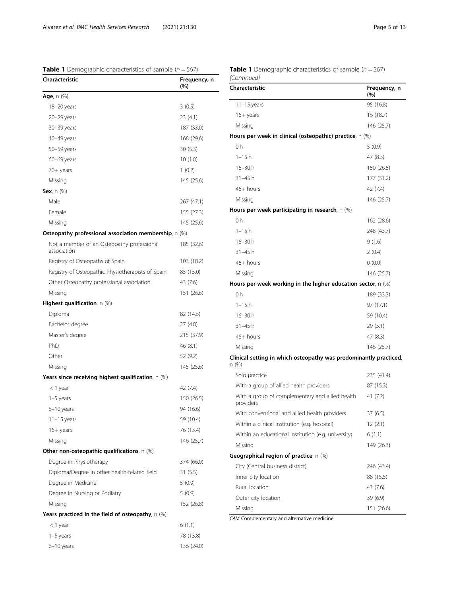<span id="page-4-0"></span>**Table 1** Demographic characteristics of sample ( $n = 567$ )

| Characteristic                                            | Frequency, n<br>(%) |
|-----------------------------------------------------------|---------------------|
| <b>Age</b> , n (%)                                        |                     |
| 18-20 years                                               | 3(0.5)              |
| 20-29 years                                               | 23 (4.1)            |
| 30-39 years                                               | 187 (33.0)          |
| 40–49 years                                               | 168 (29.6)          |
| 50–59 years                                               | 30(5.3)             |
| 60-69 years                                               | 10(1.8)             |
| 70+ years                                                 | 1(0.2)              |
| Missing                                                   | 145 (25.6)          |
| Sex, $n$ $(\%)$                                           |                     |
| Male                                                      | 267 (47.1)          |
| Female                                                    | 155 (27.3)          |
| Missing                                                   | 145 (25.6)          |
| Osteopathy professional association membership, $n \gg 0$ |                     |
| Not a member of an Osteopathy professional<br>association | 185 (32.6)          |
| Registry of Osteopaths of Spain                           | 103 (18.2)          |
| Registry of Osteopathic Physiotherapists of Spain         | 85 (15.0)           |
| Other Osteopathy professional association                 | 43 (7.6)            |
| Missing                                                   | 151 (26.6)          |
| <b>Highest qualification</b> , $n$ (%)                    |                     |
| Diploma                                                   | 82 (14.5)           |
| Bachelor degree                                           | 27 (4.8)            |
| Master's degree                                           | 215 (37.9)          |
| PhD                                                       | 46 (8.1)            |
| Other                                                     | 52 (9.2)            |
| Missing                                                   | 145 (25.6)          |
| Years since receiving highest qualification, $n$ (%)      |                     |
| < 1 year                                                  | 42 (7.4)            |
| 1-5 years                                                 | 150 (26.5)          |
| 6-10 years                                                | 94 (16.6)           |
| $11 - 15$ years                                           | 59 (10.4)           |
| 16+ years                                                 | 76 (13.4)           |
| Missing                                                   | 146 (25.7)          |
| <b>Other non-osteopathic qualifications</b> , n (%)       |                     |
| Degree in Physiotherapy                                   | 374 (66.0)          |
| Diploma/Degree in other health-related field              | 31 (5.5)            |
| Degree in Medicine                                        | 5(0.9)              |
| Degree in Nursing or Podiatry                             | 5(0.9)              |
| Missing                                                   | 152 (26.8)          |
| Years practiced in the field of osteopathy, $n \gg 0$     |                     |
| < 1 year                                                  | 6(1.1)              |
| 1-5 years                                                 | 78 (13.8)           |
| 6–10 years                                                | 136 (24.0)          |

| (Continued)<br>Characteristic                              | Frequency, n<br>(%) |
|------------------------------------------------------------|---------------------|
| $11 - 15$ years                                            | 95 (16.8)           |
| 16+ years                                                  | 16 (18.7)           |
| Missing                                                    | 146 (25.7)          |
| Hours per week in clinical (osteopathic) practice, $n$ (%) |                     |
| 0 <sub>h</sub>                                             | 5(0.9)              |
| $1 - 15h$                                                  | 47 (8.3)            |
| 16–30 h                                                    | 150 (26.5)          |
| $31 - 45h$                                                 | 177 (31.2)          |
| $46+$ hours                                                | 42 (7.4)            |
| Missing                                                    | 146 (25.7)          |
| Hours per week participating in research, $n \gg 0$        |                     |

| Hours per week participating in research, $n \gg 0$              |            |
|------------------------------------------------------------------|------------|
| 0h                                                               | 162 (28.6) |
| 1–15 h                                                           | 248 (43.7) |
| 16–30 h                                                          | 9(1.6)     |
| $31 - 45$ h                                                      | 2(0.4)     |
| $46+$ hours                                                      | 0(0.0)     |
| Missing                                                          | 146 (25.7) |
| Hours per week working in the higher education sector, $\ln$ (%) |            |
| 0h                                                               | 189 (33.3) |
| $1 - 15h$                                                        | 97 (17.1)  |
| $16 - 30h$                                                       | 59 (10.4)  |
| $31 - 45h$                                                       | 29(5.1)    |
| $46+$ hours                                                      | 47 (8.3)   |
| Missing                                                          | 146 (25.7) |

## Clinical setting in which osteopathy was predominantly practiced,

| cannear setting in writer osteopathy was preaonmantly praeticet<br>n (%) |            |
|--------------------------------------------------------------------------|------------|
| Solo practice                                                            | 235 (41.4) |
| With a group of allied health providers                                  | 87 (15.3)  |
| With a group of complementary and allied health<br>providers             | 41 (7.2)   |
| With conventional and allied health providers                            | 37 (6.5)   |
| Within a clinical institution (e.g. hospital)                            | 12(2.1)    |
| Within an educational institution (e.g. university)                      | 6(1.1)     |
| Missing                                                                  | 149 (26.3) |
| Geographical region of practice, $n$ (%)                                 |            |
| City (Central business district)                                         | 246 (43.4) |
| Inner city location                                                      | 88 (15.5)  |
| Rural location                                                           | 43 (7.6)   |
| Outer city location                                                      | 39(6.9)    |
| Missing                                                                  | 151 (26.6) |

CAM Complementary and alternative medicine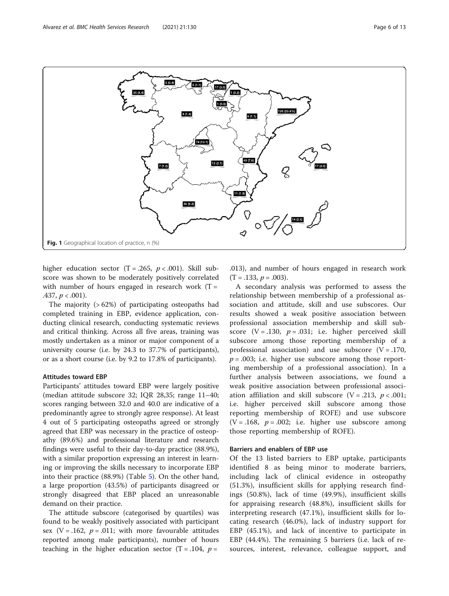<span id="page-5-0"></span>

higher education sector  $(T = .265, p < .001)$ . Skill subscore was shown to be moderately positively correlated with number of hours engaged in research work  $(T =$ .437,  $p < .001$ ).

The majority (> 62%) of participating osteopaths had completed training in EBP, evidence application, conducting clinical research, conducting systematic reviews and critical thinking. Across all five areas, training was mostly undertaken as a minor or major component of a university course (i.e. by 24.3 to 37.7% of participants), or as a short course (i.e. by 9.2 to 17.8% of participants).

### Attitudes toward EBP

Participants' attitudes toward EBP were largely positive (median attitude subscore 32; IQR 28,35; range 11–40; scores ranging between 32.0 and 40.0 are indicative of a predominantly agree to strongly agree response). At least 4 out of 5 participating osteopaths agreed or strongly agreed that EBP was necessary in the practice of osteopathy (89.6%) and professional literature and research findings were useful to their day-to-day practice (88.9%), with a similar proportion expressing an interest in learning or improving the skills necessary to incorporate EBP into their practice (88.9%) (Table [5\)](#page-7-0). On the other hand, a large proportion (43.5%) of participants disagreed or strongly disagreed that EBP placed an unreasonable demand on their practice.

The attitude subscore (categorised by quartiles) was found to be weakly positively associated with participant sex (V = .162,  $p = .011$ ; with more favourable attitudes reported among male participants), number of hours teaching in the higher education sector  $(T = .104, p =$ 

.013), and number of hours engaged in research work  $(T = .133, p = .003)$ .

A secondary analysis was performed to assess the relationship between membership of a professional association and attitude, skill and use subscores. Our results showed a weak positive association between professional association membership and skill subscore  $(V = .130, p = .031; i.e. higher perceived skill$ subscore among those reporting membership of a professional association) and use subscore  $(V = .170)$ ,  $p = .003$ ; i.e. higher use subscore among those reporting membership of a professional association). In a further analysis between associations, we found a weak positive association between professional association affiliation and skill subscore (V = .213,  $p < .001$ ; i.e. higher perceived skill subscore among those reporting membership of ROFE) and use subscore  $(V = .168, p = .002; i.e. higher use subscore among$ those reporting membership of ROFE).

## Barriers and enablers of EBP use

Of the 13 listed barriers to EBP uptake, participants identified 8 as being minor to moderate barriers, including lack of clinical evidence in osteopathy (51.3%), insufficient skills for applying research findings (50.8%), lack of time (49.9%), insufficient skills for appraising research (48.8%), insufficient skills for interpreting research (47.1%), insufficient skills for locating research (46.0%), lack of industry support for EBP (45.1%), and lack of incentive to participate in EBP (44.4%). The remaining 5 barriers (i.e. lack of resources, interest, relevance, colleague support, and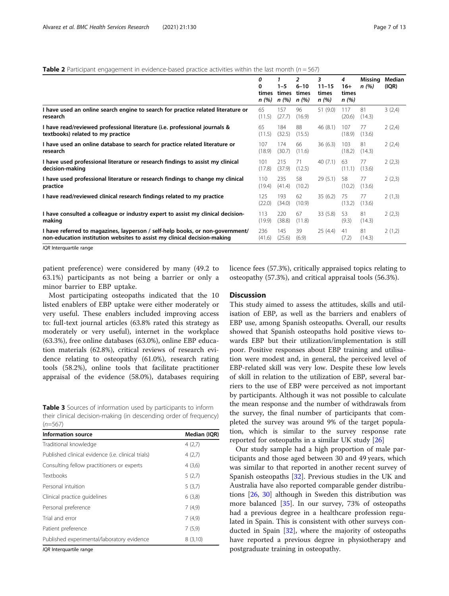## <span id="page-6-0"></span>**Table 2** Participant engagement in evidence-based practice activities within the last month ( $n = 567$ )

|                                                                                                                                                           | 0<br>0<br>times<br>n (%) | $1 - 5$<br>times<br>n(%) | 2<br>$6 - 10$<br>times<br>n(%) | 3<br>$11 - 15$<br>times<br>n(%) | 4<br>$16+$<br>times<br>n(%) | Missing<br>n(%) | Median<br>(IQR) |
|-----------------------------------------------------------------------------------------------------------------------------------------------------------|--------------------------|--------------------------|--------------------------------|---------------------------------|-----------------------------|-----------------|-----------------|
| I have used an online search engine to search for practice related literature or<br>research                                                              | 65<br>(11.5)             | 157<br>(27.7)            | 96<br>(16.9)                   | 51 (9.0)                        | 117<br>(20.6)               | 81<br>(14.3)    | 3(2,4)          |
| I have read/reviewed professional literature (i.e. professional journals &<br>textbooks) related to my practice                                           | 65<br>(11.5)             | 184<br>(32.5)            | 88<br>(15.5)                   | 46(8.1)                         | 107<br>(18.9)               | 77<br>(13.6)    | 2(2,4)          |
| I have used an online database to search for practice related literature or<br>research                                                                   | 107<br>(18.9)            | 174<br>(30.7)            | 66<br>(11.6)                   | 36(6.3)                         | 103<br>(18.2)               | 81<br>(14.3)    | 2(2,4)          |
| I have used professional literature or research findings to assist my clinical<br>decision-making                                                         | 101<br>(17.8)            | 215<br>(37.9)            | 71<br>(12.5)                   | 40(7.1)                         | 63<br>(11.1)                | 77<br>(13.6)    | 2(2,3)          |
| I have used professional literature or research findings to change my clinical<br>practice                                                                | 110<br>(19.4)            | 235<br>(41.4)            | 58<br>(10.2)                   | 29(5.1)                         | 58<br>(10.2)                | 77<br>(13.6)    | 2(2,3)          |
| I have read/reviewed clinical research findings related to my practice                                                                                    | 125<br>(22.0)            | 193<br>(34.0)            | 62<br>(10.9)                   | 35(6.2)                         | 75<br>(13.2)                | 77<br>(13.6)    | 2(1,3)          |
| I have consulted a colleague or industry expert to assist my clinical decision-<br>making                                                                 | 113<br>(19.9)            | 220<br>(38.8)            | 67<br>(11.8)                   | 33(5.8)                         | 53<br>(9.3)                 | 81<br>(14.3)    | 2(2,3)          |
| I have referred to magazines, layperson / self-help books, or non-government/<br>non-education institution websites to assist my clinical decision-making | 236<br>(41.6)            | 145<br>(25.6)            | 39<br>(6.9)                    | 25(4.4)                         | 41<br>(7.2)                 | 81<br>(14.3)    | 2(1,2)          |

IQR Interquartile range

patient preference) were considered by many (49.2 to 63.1%) participants as not being a barrier or only a minor barrier to EBP uptake.

Most participating osteopaths indicated that the 10 listed enablers of EBP uptake were either moderately or very useful. These enablers included improving access to: full-text journal articles (63.8% rated this strategy as moderately or very useful), internet in the workplace (63.3%), free online databases (63.0%), online EBP education materials (62.8%), critical reviews of research evidence relating to osteopathy (61.0%), research rating tools (58.2%), online tools that facilitate practitioner appraisal of the evidence (58.0%), databases requiring

Table 3 Sources of information used by participants to inform their clinical decision-making (in descending order of frequency)  $(n=567)$ 

| <b>Information source</b>                          | Median (IQR) |
|----------------------------------------------------|--------------|
| Traditional knowledge                              | 4(2,7)       |
| Published clinical evidence (i.e. clinical trials) | 4(2,7)       |
| Consulting fellow practitioners or experts         | 4(3,6)       |
| <b>Textbooks</b>                                   | 5(2,7)       |
| Personal intuition                                 | 5(3,7)       |
| Clinical practice quidelines                       | 6(3,8)       |
| Personal preference                                | 7(4,9)       |
| Trial and error                                    | 7(4,9)       |
| Patient preference                                 | 7(5,9)       |
| Published experimental/laboratory evidence         | 8(3,10)      |

IQR Interquartile range

## licence fees (57.3%), critically appraised topics relating to osteopathy (57.3%), and critical appraisal tools (56.3%).

## **Discussion**

This study aimed to assess the attitudes, skills and utilisation of EBP, as well as the barriers and enablers of EBP use, among Spanish osteopaths. Overall, our results showed that Spanish osteopaths hold positive views towards EBP but their utilization/implementation is still poor. Positive responses about EBP training and utilisation were modest and, in general, the perceived level of EBP-related skill was very low. Despite these low levels of skill in relation to the utilization of EBP, several barriers to the use of EBP were perceived as not important by participants. Although it was not possible to calculate the mean response and the number of withdrawals from the survey, the final number of participants that completed the survey was around 9% of the target population, which is similar to the survey response rate reported for osteopaths in a similar UK study [\[26\]](#page-11-0)

Our study sample had a high proportion of male participants and those aged between 30 and 49 years, which was similar to that reported in another recent survey of Spanish osteopaths [[32\]](#page-11-0). Previous studies in the UK and Australia have also reported comparable gender distributions [\[26,](#page-11-0) [30\]](#page-11-0) although in Sweden this distribution was more balanced [[35\]](#page-11-0). In our survey, 73% of osteopaths had a previous degree in a healthcare profession regulated in Spain. This is consistent with other surveys conducted in Spain [\[32\]](#page-11-0), where the majority of osteopaths have reported a previous degree in physiotherapy and postgraduate training in osteopathy.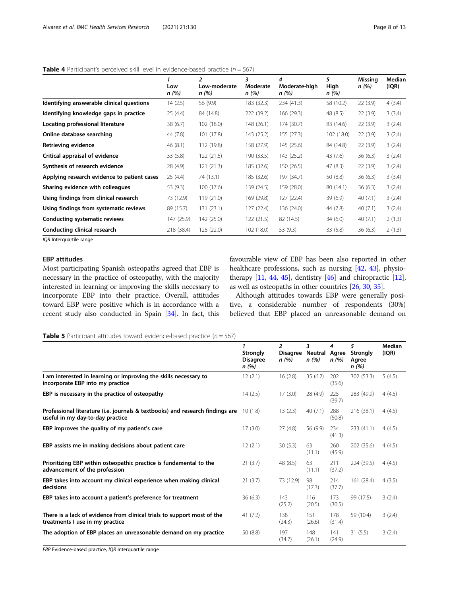|                                             | Low<br>n (%) | $\overline{2}$<br>Low-moderate<br>n (%) | 3<br>Moderate<br>n (%) | 4<br>Moderate-high<br>n (%) | 5<br>High<br>n (%) | Missing<br>n (%) | Median<br>(IQR) |
|---------------------------------------------|--------------|-----------------------------------------|------------------------|-----------------------------|--------------------|------------------|-----------------|
| Identifying answerable clinical questions   | 14(2.5)      | 56 (9.9)                                | 183 (32.3)             | 234 (41.3)                  | 58 (10.2)          | 22(3.9)          | 4(3,4)          |
| Identifying knowledge gaps in practice      | 25(4.4)      | 84 (14.8)                               | 222 (39.2)             | 166(29.3)                   | 48 (8.5)           | 22(3.9)          | 3(3,4)          |
| Locating professional literature            | 38(6.7)      | 102 (18.0)                              | 148 (26.1)             | 174 (30.7)                  | 83 (14.6)          | 22(3.9)          | 3(2,4)          |
| Online database searching                   | 44 (7.8)     | 101 (17.8)                              | 143 (25.2)             | 155(27.3)                   | 102(18.0)          | 22(3.9)          | 3(2,4)          |
| Retrieving evidence                         | 46(8.1)      | 112 (19.8)                              | 158 (27.9)             | 145(25.6)                   | 84 (14.8)          | 22(3.9)          | 3(2,4)          |
| Critical appraisal of evidence              | 33(5.8)      | 122(21.5)                               | 190 (33.5)             | 143 (25.2)                  | 43 (7.6)           | 36(6.3)          | 3(2,4)          |
| Synthesis of research evidence              | 28 (4.9)     | 121(21.3)                               | 185 (32.6)             | 150(26.5)                   | 47(8.3)            | 22(3.9)          | 3(2,4)          |
| Applying research evidence to patient cases | 25(4.4)      | 74 (13.1)                               | 185 (32.6)             | 197 (34.7)                  | 50(8.8)            | 36(6.3)          | 3(3,4)          |
| Sharing evidence with colleagues            | 53 (9.3)     | 100 (17.6)                              | 139 (24.5)             | 159 (28.0)                  | 80 (14.1)          | 36(6.3)          | 3(2,4)          |
| Using findings from clinical research       | 73 (12.9)    | 119(21.0)                               | 169 (29.8)             | 127(22.4)                   | 39(6.9)            | 40(7.1)          | 3(2,4)          |
| Using findings from systematic reviews      | 89 (15.7)    | 131 (23.1)                              | 127(22.4)              | 136 (24.0)                  | 44 (7.8)           | 40(7.1)          | 3(2,4)          |
| <b>Conducting systematic reviews</b>        | 147 (25.9)   | 142 (25.0)                              | 122(21.5)              | 82 (14.5)                   | 34(6.0)            | 40(7.1)          | 2(1,3)          |
| Conducting clinical research                | 218 (38.4)   | 125 (22.0)                              | 102 (18.0)             | 53 (9.3)                    | 33(5.8)            | 36(6.3)          | 2(1,3)          |

## <span id="page-7-0"></span>**Table 4** Participant's perceived skill level in evidence-based practice ( $n = 567$ )

IQR Interquartile range

## EBP attitudes

Most participating Spanish osteopaths agreed that EBP is necessary in the practice of osteopathy, with the majority interested in learning or improving the skills necessary to incorporate EBP into their practice. Overall, attitudes toward EBP were positive which is in accordance with a recent study also conducted in Spain [[34\]](#page-11-0). In fact, this favourable view of EBP has been also reported in other healthcare professions, such as nursing [\[42,](#page-12-0) [43\]](#page-12-0), physiotherapy  $[11, 44, 45]$  $[11, 44, 45]$  $[11, 44, 45]$  $[11, 44, 45]$  $[11, 44, 45]$  $[11, 44, 45]$ , dentistry  $[46]$  $[46]$  $[46]$  and chiropractic  $[12]$  $[12]$  $[12]$ , as well as osteopaths in other countries [\[26,](#page-11-0) [30,](#page-11-0) [35](#page-11-0)].

Although attitudes towards EBP were generally positive, a considerable number of respondents (30%) believed that EBP placed an unreasonable demand on

**Table 5** Participant attitudes toward evidence-based practice ( $n = 567$ )

|                                                                                                                   | 1<br><b>Strongly</b><br><b>Disagree</b><br>n (%) | $\overline{a}$<br>Disagree Neutral Agree<br>n (%) | 3<br>n (%)    | 4<br>n(%)     | 5<br><b>Strongly</b><br>Agree<br>n (%) | Median<br>I(QR) |
|-------------------------------------------------------------------------------------------------------------------|--------------------------------------------------|---------------------------------------------------|---------------|---------------|----------------------------------------|-----------------|
| I am interested in learning or improving the skills necessary to<br>incorporate EBP into my practice              | 12(2.1)                                          | 16(2.8)                                           | 35(6.2)       | 202<br>(35.6) | 302 (53.3)                             | 5(4,5)          |
| EBP is necessary in the practice of osteopathy                                                                    | 14(2.5)                                          | 17(3.0)                                           | 28 (4.9)      | 225<br>(39.7) | 283 (49.9)                             | 4(4,5)          |
| Professional literature (i.e. journals & textbooks) and research findings are<br>useful in my day-to-day practice | 10(1.8)                                          | 13(2.3)                                           | 40(7.1)       | 288<br>(50.8) | 216 (38.1)                             | 4(4,5)          |
| EBP improves the quality of my patient's care                                                                     | 17(3.0)                                          | 27(4.8)                                           | 56 (9.9)      | 234<br>(41.3) | 233 (41.1)                             | 4(4,5)          |
| EBP assists me in making decisions about patient care                                                             | 12(2.1)                                          | 30(5.3)                                           | 63<br>(11.1)  | 260<br>(45.9) | 202 (35.6)                             | 4(4,5)          |
| Prioritizing EBP within osteopathic practice is fundamental to the<br>advancement of the profession               | 21(3.7)                                          | 48 (8.5)                                          | 63<br>(11.1)  | 211<br>(37.2) | 224 (39.5)                             | 4(4,5)          |
| EBP takes into account my clinical experience when making clinical<br>decisions                                   | 21(3.7)                                          | 73 (12.9)                                         | 98<br>(17.3)  | 214<br>(37.7) | 161 (28.4)                             | 4(3,5)          |
| EBP takes into account a patient's preference for treatment                                                       | 36(6.3)                                          | 143<br>(25.2)                                     | 116<br>(20.5) | 173<br>(30.5) | 99 (17.5)                              | 3(2,4)          |
| There is a lack of evidence from clinical trials to support most of the<br>treatments I use in my practice        | 41(7.2)                                          | 138<br>(24.3)                                     | 151<br>(26.6) | 178<br>(31.4) | 59 (10.4)                              | 3(2,4)          |
| The adoption of EBP places an unreasonable demand on my practice                                                  | 50 (8.8)                                         | 197<br>(34.7)                                     | 148<br>(26.1) | 141<br>(24.9) | 31(5.5)                                | 3(2,4)          |

EBP Evidence-based practice, IQR Interquartile range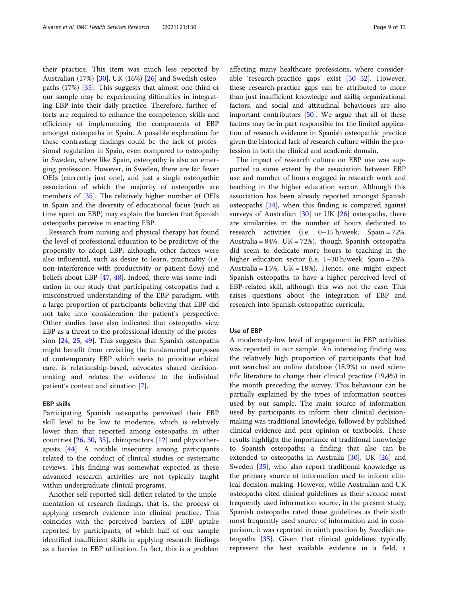their practice. This item was much less reported by Australian (17%) [\[30\]](#page-11-0), UK (16%) [\[26](#page-11-0)] and Swedish osteopaths (17%) [\[35\]](#page-11-0). This suggests that almost one-third of our sample may be experiencing difficulties in integrating EBP into their daily practice. Therefore, further efforts are required to enhance the competence, skills and efficiency of implementing the components of EBP amongst osteopaths in Spain. A possible explanation for these contrasting findings could be the lack of professional regulation in Spain, even compared to osteopathy in Sweden, where like Spain, osteopathy is also an emerging profession. However, in Sweden, there are far fewer OEIs (currently just one), and just a single osteopathic association of which the majority of osteopaths are members of [\[35](#page-11-0)]. The relatively higher number of OEIs in Spain and the diversity of educational focus (such as time spent on EBP) may explain the burden that Spanish osteopaths perceive in enacting EBP.

Research from nursing and physical therapy has found the level of professional education to be predictive of the propensity to adopt EBP; although, other factors were also influential, such as desire to learn, practicality (i.e. non-interference with productivity or patient flow) and beliefs about EBP [[47,](#page-12-0) [48](#page-12-0)]. Indeed, there was some indication in our study that participating osteopaths had a misconstrued understanding of the EBP paradigm, with a large proportion of participants believing that EBP did not take into consideration the patient's perspective. Other studies have also indicated that osteopaths view EBP as a threat to the professional identity of the profession [[24,](#page-11-0) [25](#page-11-0), [49](#page-12-0)]. This suggests that Spanish osteopaths might benefit from revisiting the fundamental purposes of contemporary EBP which seeks to prioritise ethical care, is relationship-based, advocates shared decisionmaking and relates the evidence to the individual patient's context and situation [[7\]](#page-11-0).

## EBP skills

Participating Spanish osteopaths perceived their EBP skill level to be low to moderate, which is relatively lower than that reported among osteopaths in other countries [[26,](#page-11-0) [30,](#page-11-0) [35\]](#page-11-0), chiropractors [[12\]](#page-11-0) and physiotherapists [\[44](#page-12-0)]. A notable insecurity among participants related to the conduct of clinical studies or systematic reviews. This finding was somewhat expected as these advanced research activities are not typically taught within undergraduate clinical programs.

Another self-reported skill-deficit related to the implementation of research findings, that is, the process of applying research evidence into clinical practice. This coincides with the perceived barriers of EBP uptake reported by participants, of which half of our sample identified insufficient skills in applying research findings as a barrier to EBP utilisation. In fact, this is a problem affecting many healthcare professions, where considerable 'research-practice gaps' exist [\[50](#page-12-0)–[52\]](#page-12-0). However, these research-practice gaps can be attributed to more than just insufficient knowledge and skills; organizational factors, and social and attitudinal behaviours are also important contributors [[50](#page-12-0)]. We argue that all of these factors may be in part responsible for the limited application of research evidence in Spanish osteopathic practice given the historical lack of research culture within the profession in both the clinical and academic domain.

The impact of research culture on EBP use was supported to some extent by the association between EBP use and number of hours engaged in research work and teaching in the higher education sector. Although this association has been already reported amongst Spanish osteopaths [[34\]](#page-11-0), when this finding is compared against surveys of Australian  $[30]$  or UK  $[26]$  $[26]$  osteopaths, there are similarities in the number of hours dedicated to research activities (i.e. 0–15 h/week; Spain = 72%, Australia = 84%, UK = 72%), though Spanish osteopaths did seem to dedicate more hours to teaching in the higher education sector (i.e. 1–30 h/week; Spain = 28%, Australia = 15%, UK = 18%). Hence, one might expect Spanish osteopaths to have a higher perceived level of EBP-related skill, although this was not the case. This raises questions about the integration of EBP and research into Spanish osteopathic curricula.

#### Use of EBP

A moderately-low level of engagement in EBP activities was reported in our sample. An interesting finding was the relatively high proportion of participants that had not searched an online database (18.9%) or used scientific literature to change their clinical practice (19,4%) in the month preceding the survey. This behaviour can be partially explained by the types of information sources used by our sample. The main source of information used by participants to inform their clinical decisionmaking was traditional knowledge, followed by published clinical evidence and peer opinion or textbooks. These results highlight the importance of traditional knowledge to Spanish osteopaths; a finding that also can be extended to osteopaths in Australia [[30](#page-11-0)], UK [[26\]](#page-11-0) and Sweden [[35\]](#page-11-0), who also report traditional knowledge as the primary source of information used to inform clinical decision-making. However, while Australian and UK osteopaths cited clinical guidelines as their second most frequently used information source, in the present study, Spanish osteopaths rated these guidelines as their sixth most frequently used source of information and in comparison, it was reported in ninth position by Swedish osteopaths [[35\]](#page-11-0). Given that clinical guidelines typically represent the best available evidence in a field, a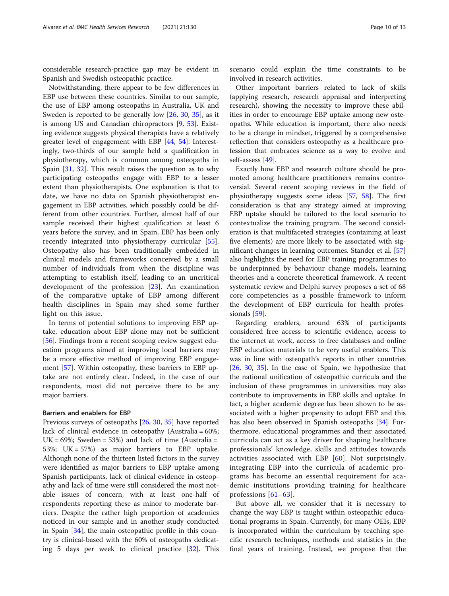considerable research-practice gap may be evident in Spanish and Swedish osteopathic practice.

Notwithstanding, there appear to be few differences in EBP use between these countries. Similar to our sample, the use of EBP among osteopaths in Australia, UK and Sweden is reported to be generally low [\[26](#page-11-0), [30](#page-11-0), [35\]](#page-11-0), as it is among US and Canadian chiropractors [\[9](#page-11-0), [53\]](#page-12-0). Existing evidence suggests physical therapists have a relatively greater level of engagement with EBP [\[44,](#page-12-0) [54\]](#page-12-0). Interestingly, two-thirds of our sample held a qualification in physiotherapy, which is common among osteopaths in Spain [\[31,](#page-11-0) [32\]](#page-11-0). This result raises the question as to why participating osteopaths engage with EBP to a lesser extent than physiotherapists. One explanation is that to date, we have no data on Spanish physiotherapist engagement in EBP activities, which possibly could be different from other countries. Further, almost half of our sample received their highest qualification at least 6 years before the survey, and in Spain, EBP has been only recently integrated into physiotherapy curricular [\[55](#page-12-0)]. Osteopathy also has been traditionally embedded in clinical models and frameworks conceived by a small number of individuals from when the discipline was attempting to establish itself, leading to an uncritical development of the profession [[23\]](#page-11-0). An examination of the comparative uptake of EBP among different health disciplines in Spain may shed some further light on this issue.

In terms of potential solutions to improving EBP uptake, education about EBP alone may not be sufficient [[56\]](#page-12-0). Findings from a recent scoping review suggest education programs aimed at improving local barriers may be a more effective method of improving EBP engagement [\[57](#page-12-0)]. Within osteopathy, these barriers to EBP uptake are not entirely clear. Indeed, in the case of our respondents, most did not perceive there to be any major barriers.

#### Barriers and enablers for EBP

Previous surveys of osteopaths [\[26,](#page-11-0) [30,](#page-11-0) [35\]](#page-11-0) have reported lack of clinical evidence in osteopathy (Australia = 60%; UK =  $69\%$ ; Sweden =  $53\%$ ) and lack of time (Australia = 53%; UK = 57%) as major barriers to EBP uptake. Although none of the thirteen listed factors in the survey were identified as major barriers to EBP uptake among Spanish participants, lack of clinical evidence in osteopathy and lack of time were still considered the most notable issues of concern, with at least one-half of respondents reporting these as minor to moderate barriers. Despite the rather high proportion of academics noticed in our sample and in another study conducted in Spain [[34](#page-11-0)], the main osteopathic profile in this country is clinical-based with the 60% of osteopaths dedicating 5 days per week to clinical practice [[32\]](#page-11-0). This

scenario could explain the time constraints to be involved in research activities.

Other important barriers related to lack of skills (applying research, research appraisal and interpreting research), showing the necessity to improve these abilities in order to encourage EBP uptake among new osteopaths. While education is important, there also needs to be a change in mindset, triggered by a comprehensive reflection that considers osteopathy as a healthcare profession that embraces science as a way to evolve and self-assess [[49\]](#page-12-0).

Exactly how EBP and research culture should be promoted among healthcare practitioners remains controversial. Several recent scoping reviews in the field of physiotherapy suggests some ideas [[57](#page-12-0), [58\]](#page-12-0). The first consideration is that any strategy aimed at improving EBP uptake should be tailored to the local scenario to contextualize the training program. The second consideration is that multifaceted strategies (containing at least five elements) are more likely to be associated with significant changes in learning outcomes. Stander et al. [[57](#page-12-0)] also highlights the need for EBP training programmes to be underpinned by behaviour change models, learning theories and a concrete theoretical framework. A recent systematic review and Delphi survey proposes a set of 68 core competencies as a possible framework to inform the development of EBP curricula for health professionals [\[59](#page-12-0)].

Regarding enablers, around 63% of participants considered free access to scientific evidence, access to the internet at work, access to free databases and online EBP education materials to be very useful enablers. This was in line with osteopath's reports in other countries [[26,](#page-11-0) [30](#page-11-0), [35\]](#page-11-0). In the case of Spain, we hypothesize that the national unification of osteopathic curricula and the inclusion of these programmes in universities may also contribute to improvements in EBP skills and uptake. In fact, a higher academic degree has been shown to be associated with a higher propensity to adopt EBP and this has also been observed in Spanish osteopaths [[34\]](#page-11-0). Furthermore, educational programmes and their associated curricula can act as a key driver for shaping healthcare professionals' knowledge, skills and attitudes towards activities associated with EBP [\[60\]](#page-12-0). Not surprisingly, integrating EBP into the curricula of academic programs has become an essential requirement for academic institutions providing training for healthcare professions [[61](#page-12-0)–[63](#page-12-0)].

But above all, we consider that it is necessary to change the way EBP is taught within osteopathic educational programs in Spain. Currently, for many OEIs, EBP is incorporated within the curriculum by teaching specific research techniques, methods and statistics in the final years of training. Instead, we propose that the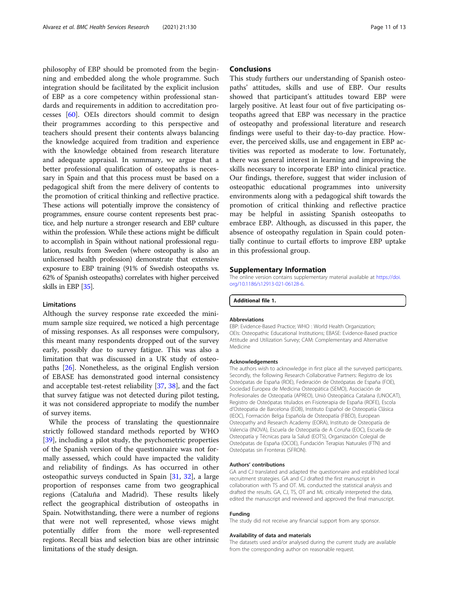<span id="page-10-0"></span>philosophy of EBP should be promoted from the beginning and embedded along the whole programme. Such integration should be facilitated by the explicit inclusion of EBP as a core competency within professional standards and requirements in addition to accreditation processes [\[60](#page-12-0)]. OEIs directors should commit to design their programmes according to this perspective and teachers should present their contents always balancing the knowledge acquired from tradition and experience with the knowledge obtained from research literature and adequate appraisal. In summary, we argue that a better professional qualification of osteopaths is necessary in Spain and that this process must be based on a pedagogical shift from the mere delivery of contents to the promotion of critical thinking and reflective practice. These actions will potentially improve the consistency of programmes, ensure course content represents best practice, and help nurture a stronger research and EBP culture within the profession. While these actions might be difficult to accomplish in Spain without national professional regulation, results from Sweden (where osteopathy is also an unlicensed health profession) demonstrate that extensive exposure to EBP training (91% of Swedish osteopaths vs. 62% of Spanish osteopaths) correlates with higher perceived skills in EBP [\[35\]](#page-11-0).

## Limitations

Although the survey response rate exceeded the minimum sample size required, we noticed a high percentage of missing responses. As all responses were compulsory, this meant many respondents dropped out of the survey early, possibly due to survey fatigue. This was also a limitation that was discussed in a UK study of osteopaths [\[26\]](#page-11-0). Nonetheless, as the original English version of EBASE has demonstrated good internal consistency and acceptable test-retest reliability [\[37](#page-12-0), [38](#page-12-0)], and the fact that survey fatigue was not detected during pilot testing, it was not considered appropriate to modify the number of survey items.

While the process of translating the questionnaire strictly followed standard methods reported by WHO [[39\]](#page-12-0), including a pilot study, the psychometric properties of the Spanish version of the questionnaire was not formally assessed, which could have impacted the validity and reliability of findings. As has occurred in other osteopathic surveys conducted in Spain [\[31,](#page-11-0) [32\]](#page-11-0), a large proportion of responses came from two geographical regions (Cataluña and Madrid). These results likely reflect the geographical distribution of osteopaths in Spain. Notwithstanding, there were a number of regions that were not well represented, whose views might potentially differ from the more well-represented regions. Recall bias and selection bias are other intrinsic limitations of the study design.

## **Conclusions**

This study furthers our understanding of Spanish osteopaths' attitudes, skills and use of EBP. Our results showed that participant's attitudes toward EBP were largely positive. At least four out of five participating osteopaths agreed that EBP was necessary in the practice of osteopathy and professional literature and research findings were useful to their day-to-day practice. However, the perceived skills, use and engagement in EBP activities was reported as moderate to low. Fortunately, there was general interest in learning and improving the skills necessary to incorporate EBP into clinical practice. Our findings, therefore, suggest that wider inclusion of osteopathic educational programmes into university environments along with a pedagogical shift towards the promotion of critical thinking and reflective practice may be helpful in assisting Spanish osteopaths to embrace EBP. Although, as discussed in this paper, the absence of osteopathy regulation in Spain could potentially continue to curtail efforts to improve EBP uptake in this professional group.

## Supplementary Information

The online version contains supplementary material available at [https://doi.](https://doi.org/10.1186/s12913-021-06128-6) [org/10.1186/s12913-021-06128-6.](https://doi.org/10.1186/s12913-021-06128-6)

Additional file 1.

#### Abbreviations

EBP: Evidence-Based Practice; WHO : World Health Organization; OEIs: Osteopathic Educational Institutions; EBASE: Evidence-Based practice Attitude and Utilization Survey; CAM: Complementary and Alternative Medicine

#### Acknowledgements

The authors wish to acknowledge in first place all the surveyed participants. Secondly, the following Research Collaborative Partners: Registro de los Osteópatas de España (ROE), Federación de Osteópatas de España (FOE), Sociedad Europea de Medicina Osteopática (SEMO), Asociación de Profesionales de Osteopatía (APREO), Unió Osteopàtica Catalana (UNOCAT), Registro de Osteópatas titulados en Fisioterapia de España (ROFE), Escola d'Osteopatia de Barcelona (EOB), Instituto Español de Osteopatía Clásica (IEOC), Formación Belga Española de Osteopatía (FBEO), European Osteopathy and Research Academy (EORA), Instituto de Osteopatía de Valencia (INOVA), Escuela de Osteopatía de A Coruña (EOC), Escuela de Osteopatía y Técnicas para la Salud (EOTS), Organización Colegial de Osteópatas de España (OCOE), Fundación Terapias Naturales (FTN) and Osteópatas sin Fronteras (SFRON).

#### Authors' contributions

GA and CJ translated and adapted the questionnaire and established local recruitment strategies. GA and CJ drafted the first manuscript in collaboration with TS and OT. ML conducted the statistical analysis and drafted the results. GA, CJ, TS, OT and ML critically interpreted the data, edited the manuscript and reviewed and approved the final manuscript.

#### Funding

The study did not receive any financial support from any sponsor.

#### Availability of data and materials

The datasets used and/or analysed during the current study are available from the corresponding author on reasonable request.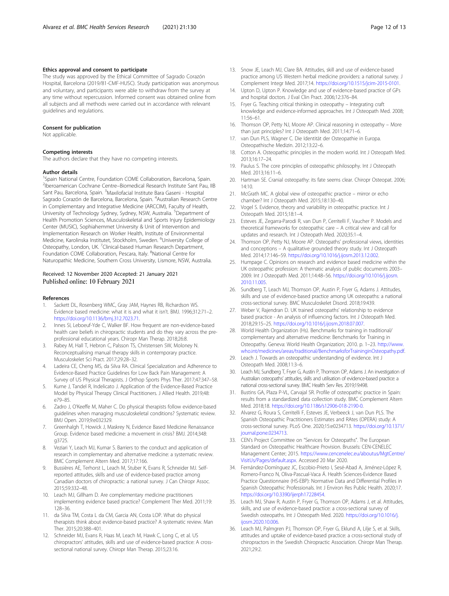#### <span id="page-11-0"></span>Ethics approval and consent to participate

The study was approved by the Ethical Committee of Sagrado Corazón Hospital, Barcelona (2019/81-CMF-HUSC). Study participation was anonymous and voluntary, and participants were able to withdraw from the survey at any time without repercussion. Informed consent was obtained online from all subjects and all methods were carried out in accordance with relevant guidelines and regulations.

#### Consent for publication

Not applicable.

#### Competing interests

The authors declare that they have no competing interests.

#### Author details

<sup>1</sup>Spain National Centre, Foundation COME Collaboration, Barcelona, Spain. <sup>2</sup>Iberoamerican Cochrane Centre–Biomedical Research Institute Sant Pau, IIB Sant Pau, Barcelona, Spain. <sup>3</sup>Maxilofacial Institute Bara Gaseni - Hospital Sagrado Corazón de Barcelona, Barcelona, Spain. <sup>4</sup>Australian Research Centre in Complementary and Integrative Medicine (ARCCIM), Faculty of Health, University of Technology Sydney, Sydney, NSW, Australia. <sup>5</sup>Department of Health Promotion Sciences, Musculoskeletal and Sports Injury Epidemiology Center (MUSIC), Sophiahemmet University & Unit of Intervention and Implementation Research on Worker Health, Institute of Environmental Medicine, Karolinska Institutet, Stockholm, Sweden. <sup>6</sup>University College of Osteopathy, London, UK. <sup>7</sup>Clinical-based Human Research Department, Foundation COME Collaboration, Pescara, Italy. <sup>8</sup>National Centre for Naturopathic Medicine, Southern Cross University, Lismore, NSW, Australia.

## Received: 12 November 2020 Accepted: 21 January 2021 Published online: 10 February 2021

#### References

- 1. Sackett DL, Rosenberg WMC, Gray JAM, Haynes RB, Richardson WS. Evidence based medicine: what it is and what it isn't. BMJ. 1996;312:71–2. <https://doi.org/10.1136/bmj.312.7023.71>.
- 2. Innes SI, Leboeuf-Yde C, Walker BF. How frequent are non-evidence-based health care beliefs in chiropractic students and do they vary across the preprofessional educational years. Chiropr Man Therap. 2018;26:8.
- Rabey M, Hall T, Hebron C, Palsson TS, Christensen SW, Moloney N. Reconceptualising manual therapy skills in contemporary practice. Musculoskelet Sci Pract. 2017;29:28–32.
- 4. Ladeira CE, Cheng MS, da Silva RA. Clinical Specialization and Adherence to Evidence-Based Practice Guidelines for Low Back Pain Management: A Survey of US Physical Therapists. J Orthop Sports Phys Ther. 2017;47:347–58.
- Kume J, Tandel R, Indelicato J. Application of the Evidence-Based Practice Model by Physical Therapy Clinical Practitioners. J Allied Health. 2019;48: e79–85.
- 6. Zadro J, O'Keeffe M, Maher C. Do physical therapists follow evidence-based guidelines when managing musculoskeletal conditions? Systematic review. BMJ Open. 2019;9:e032329.
- 7. Greenhalgh T, Howick J, Maskrey N, Evidence Based Medicine Renaissance Group. Evidence based medicine: a movement in crisis? BMJ. 2014;348: g3725.
- Veziari Y, Leach MJ, Kumar S. Barriers to the conduct and application of research in complementary and alternative medicine: a systematic review. BMC Complement Altern Med. 2017;17:166.
- 9. Bussières AE, Terhorst L, Leach M, Stuber K, Evans R, Schneider MJ. Selfreported attitudes, skills and use of evidence-based practice among Canadian doctors of chiropractic: a national survey. J Can Chiropr Assoc. 2015;59:332–48.
- 10. Leach MJ, Gillham D. Are complementary medicine practitioners implementing evidence based practice? Complement Ther Med. 2011;19: 128–36.
- 11. da Silva TM, Costa L da CM, Garcia AN, Costa LOP. What do physical therapists think about evidence-based practice? A systematic review. Man Ther. 2015;20:388–401.
- 12. Schneider MJ, Evans R, Haas M, Leach M, Hawk C, Long C, et al. US chiropractors' attitudes, skills and use of evidence-based practice: A crosssectional national survey. Chiropr Man Therap. 2015;23:16.
- 13. Snow JE, Leach MJ, Clare BA. Attitudes, skill and use of evidence-based practice among US Western herbal medicine providers: a national survey. J Complement Integr Med. 2017;14. [https://doi.org/10.1515/jcim-2015-0101.](https://doi.org/10.1515/jcim-2015-0101)
- 14. Upton D, Upton P. Knowledge and use of evidence-based practice of GPs and hospital doctors. J Eval Clin Pract. 2006;12:376–84.
- 15. Fryer G. Teaching critical thinking in osteopathy Integrating craft knowledge and evidence-informed approaches. Int J Osteopath Med. 2008; 11:56–61.
- 16. Thomson OP, Petty NJ, Moore AP. Clinical reasoning in osteopathy More than just principles? Int J Osteopath Med. 2011;14:71–6.
- 17. van Dun PLS, Wagner C. Die Identität der Osteopathie in Europa. Osteopathische Medizin. 2012;13:22–6.
- 18. Cotton A. Osteopathic principles in the modern world. Int J Osteopath Med. 2013;16:17–24.
- 19. Paulus S. The core principles of osteopathic philosophy. Int J Osteopath Med. 2013;16:11–6.
- 20. Hartman SE. Cranial osteopathy: its fate seems clear. Chiropr Osteopat. 2006; 14:10.
- 21. McGrath MC. A global view of osteopathic practice mirror or echo chamber? Int J Osteopath Med. 2015;18:130–40.
- 22. Vogel S. Evidence, theory and variability in osteopathic practice. Int J Osteopath Med. 2015;18:1–4.
- 23. Esteves JE, Zegarra-Parodi R, van Dun P, Cerritelli F, Vaucher P. Models and theoretical frameworks for osteopathic care – A critical view and call for updates and research. Int J Osteopath Med. 2020;35:1–4.
- 24. Thomson OP, Petty NJ, Moore AP. Osteopaths' professional views, identities and conceptions – A qualitative grounded theory study. Int J Osteopath Med. 2014;17:146–59. [https://doi.org/10.1016/j.ijosm.2013.12.002.](https://doi.org/10.1016/j.ijosm.2013.12.002)
- 25. Humpage C. Opinions on research and evidence based medicine within the UK osteopathic profession: A thematic analysis of public documents 2003– 2009. Int J Osteopath Med. 2011;14:48–56. [https://doi.org/10.1016/j.ijosm.](https://doi.org/10.1016/j.ijosm.2010.11.005) [2010.11.005.](https://doi.org/10.1016/j.ijosm.2010.11.005)
- 26. Sundberg T, Leach MJ, Thomson OP, Austin P, Fryer G, Adams J. Attitudes, skills and use of evidence-based practice among UK osteopaths: a national cross-sectional survey. BMC Musculoskelet Disord. 2018;19:439.
- 27. Weber V, Rajendran D. UK trained osteopaths' relationship to evidence based practice - An analysis of influencing factors. Int J Osteopath Med. 2018;29:15–25. <https://doi.org/10.1016/j.ijosm.2018.07.007>.
- 28. World Health Organization (Hs). Benchmarks for training in traditional/ complementary and alternative medicine: Benchmarks for Training in Osteopathy. Geneva: World Health Organization; 2010. p. 1–23. [http://www.](http://www.who.int/medicines/areas/traditional/BenchmarksforTraininginOsteopathy.pdf) [who.int/medicines/areas/traditional/BenchmarksforTraininginOsteopathy.pdf.](http://www.who.int/medicines/areas/traditional/BenchmarksforTraininginOsteopathy.pdf)
- 29. Leach J. Towards an osteopathic understanding of evidence. Int J Osteopath Med. 2008;11:3–6.
- 30. Leach MJ, Sundberg T, Fryer G, Austin P, Thomson OP, Adams J. An investigation of Australian osteopaths' attitudes, skills and utilisation of evidence-based practice: a national cross-sectional survey. BMC Health Serv Res. 2019;19:498.
- 31. Bustins GA, Plaza P-VL, Carvajal SR. Profile of osteopathic practice in Spain: results from a standardized data collection study. BMC Complement Altern Med. 2018;18. <https://doi.org/10.1186/s12906-018-2190-0>.
- 32. Alvarez G, Roura S, Cerritelli F, Esteves JE, Verbeeck J, van Dun PLS. The Spanish Osteopathic Practitioners Estimates and RAtes (OPERA) study: A cross-sectional survey. PLoS One. 2020;15:e0234713. [https://doi.org/10.1371/](https://doi.org/10.1371/journal.pone.0234713) [journal.pone.0234713](https://doi.org/10.1371/journal.pone.0234713).
- 33. CEN's Project Committee on "Services for Osteopaths". The European Standard on Osteopathic Healthcare Provision. Brussels: CEN-CENELEC Management Center; 2015. [https://www.cencenelec.eu/aboutus/MgtCentre/](https://www.cencenelec.eu/aboutus/MgtCentre/VisitUs/Pages/default.aspx) [VisitUs/Pages/default.aspx](https://www.cencenelec.eu/aboutus/MgtCentre/VisitUs/Pages/default.aspx). Accessed 20 Mar 2020.
- 34. Fernández-Domínguez JC, Escobio-Prieto I, Sesé-Abad A, Jiménez-López R, Romero-Franco N, Oliva-Pascual-Vaca Á. Health Sciences-Evidence Based Practice Questionnaire (HS-EBP): Normative Data and Differential Profiles in Spanish Osteopathic Professionals. Int J Environ Res Public Health. 2020;17. <https://doi.org/10.3390/ijerph17228454>.
- 35. Leach MJ, Shaw R, Austin P, Fryer G, Thomson OP, Adams J, et al. Attitudes, skills, and use of evidence-based practice: a cross-sectional survey of Swedish osteopaths. Int J Osteopath Med. 2020. [https://doi.org/10.1016/j.](https://doi.org/10.1016/j.ijosm.2020.10.006) [ijosm.2020.10.006](https://doi.org/10.1016/j.ijosm.2020.10.006).
- 36. Leach MJ, Palmgren PJ, Thomson OP, Fryer G, Eklund A, Lilje S, et al. Skills, attitudes and uptake of evidence-based practice: a cross-sectional study of chiropractors in the Swedish Chiropractic Association. Chiropr Man Therap. 2021;29:2.